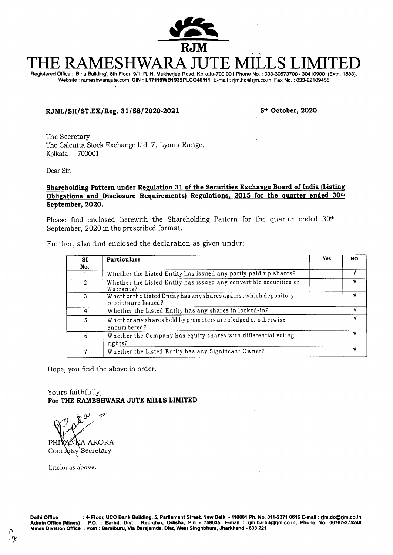

# **THE RAMESHWARA JUTE MILLS LIMITED**  Registered Office : 'Birla Building', 8th Floor, 9/1, R. N. Mukherjee Road, Kolkata-700 001 Phone No. : 033-30573700 / 30410900 (Extn. 1883),

Website : rameshwarajute.com **CIN : L17119WB1935PLC046111** E-mail : rjm.ho@rjm.co.in Fax No. : 033-22109455

# **RJML/SH/ST.EX/Reg. 31/SS/2020-2021 5th October, 2020**

The Secretary The Calcutta Stock Exchange Ltd. 7, Lyons Range, Kolkata — 700001

Dear Sir,

## **Shareholding Pattern under Regulation 31 of the Securities Exchange Board of India (Listing Obligations and Disclosure Requirements) Regulations, 2015 for the quarter ended 30th September, 2020.**

Please find enclosed herewith the Shareholding Pattern for the quarter ended 30<sup>th</sup> September, 2020 in the prescribed format.

| Further, also find enclosed the declaration as given under: |  |  |  |  |  |  |  |
|-------------------------------------------------------------|--|--|--|--|--|--|--|
|-------------------------------------------------------------|--|--|--|--|--|--|--|

| SI             | <b>Particulars</b>                                                                        | Yes | <b>NO</b> |
|----------------|-------------------------------------------------------------------------------------------|-----|-----------|
| No.            |                                                                                           |     |           |
|                | Whether the Listed Entity has issued any partly paid up shares?                           |     | v         |
| $\overline{2}$ | Whether the Listed Entity has issued any convertible securities or<br>Warrants?           |     | v         |
| 3              | Whether the Listed Entity has any shares against which depository<br>receipts are Issued? |     | v         |
| 4              | Whether the Listed Entity has any shares in locked-in?                                    |     | v         |
| 5              | Whether any shares held by promoters are pledged or otherwise<br>encum bered?             |     | v         |
| 6              | Whether the Company has equity shares with differential voting<br>rights?                 |     |           |
| 7              | Whether the Listed Entity has any Significant Owner?                                      |     |           |

Hope, you find the above in order.

Yours faithfully, **For THE RAMESHWARA JUTE MILLS LIMITED** 

y.a PRI**YANKA ARORA** Company Secretary

Enclo: as above.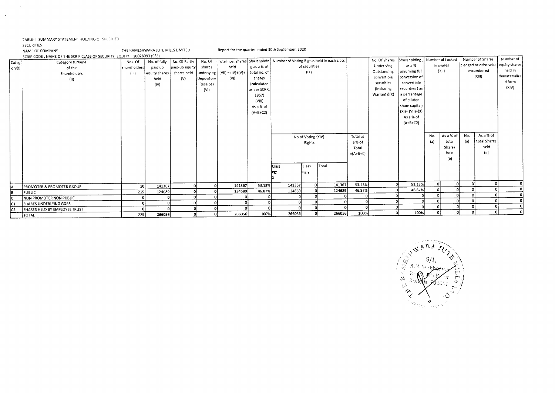## TABLE- I SUMMARY STATEMENT HOLDING OF SPECIFIED

 $\sim$ 

 $\Delta$ 

SECURITIES<br>NAME OF COMPANY

THE RAMESHWARA JUTE MILLS LIMITED Report for the quarter ended 30th September, 2020

|                | SCRIP CODE, NAME OF THE SCRIP, CLASS OF SECURITY : EQUITY 10028093 (CSE) |              |                 |                |            |                                  |                    |                                                                                               |                    |        |            |               |                    |     |                  |     | Number of Shares | Number of                          |
|----------------|--------------------------------------------------------------------------|--------------|-----------------|----------------|------------|----------------------------------|--------------------|-----------------------------------------------------------------------------------------------|--------------------|--------|------------|---------------|--------------------|-----|------------------|-----|------------------|------------------------------------|
| Categ          | Category & Name                                                          | Nos. Of      | No. of fully    | No. Of Partly  | No. Of     |                                  |                    | Total nos. shares   Shareholdin   Number of Voting Rights held in each class<br>of securities |                    |        |            | No. Of Shares | Shareholding       |     | Number of Locked |     |                  | pledged or otherwise equity shares |
| $\sigma(y(1))$ | of the                                                                   | shareholders | paid up         | paid-up equity | shares     | held                             | g as a % of        |                                                                                               |                    |        |            | Underlying    | as a %             |     | in shares        |     |                  | held in                            |
|                | Shareholders                                                             | (III)        | equity shares l | shares held    |            | underlying $ (VII)  = (IV)+(V)+$ | total no. of       |                                                                                               | (IX)               |        |            | Outstanding   | assuming full      |     | (XH)             |     | encumbered       | dematerialize                      |
|                | (II)                                                                     |              | held            | (V)            | Depository | (VI)                             | shares             |                                                                                               |                    |        |            | convertible   | conversion of      |     |                  |     | (XIII)           |                                    |
|                |                                                                          |              | (IV)            |                | Receipts   |                                  | <i>(calculated</i> |                                                                                               |                    |        |            | securities    | convertible        |     |                  |     |                  | d form<br>(XIV)                    |
|                |                                                                          |              |                 |                | (VI)       |                                  | as per SCRR,       |                                                                                               |                    |        |            | (Including    | securities (as     |     |                  |     |                  |                                    |
|                |                                                                          |              |                 |                |            |                                  | 1957)              |                                                                                               |                    |        |            | Warrants)(X)  | a percentage       |     |                  |     |                  |                                    |
|                |                                                                          |              |                 |                |            |                                  | (VIII)             |                                                                                               |                    |        |            |               | of diluted         |     |                  |     |                  |                                    |
|                |                                                                          |              |                 |                |            |                                  | As a % of          |                                                                                               |                    |        |            |               | share capital)     |     |                  |     |                  |                                    |
|                |                                                                          |              |                 |                |            |                                  | $(A+B+C2)$         |                                                                                               |                    |        |            |               | $(XI) = (VII)+(X)$ |     |                  |     |                  |                                    |
|                |                                                                          |              |                 |                |            |                                  |                    |                                                                                               |                    |        |            |               | As a % of          |     |                  |     |                  |                                    |
|                |                                                                          |              |                 |                |            |                                  |                    |                                                                                               |                    |        |            |               | $(A+B+C2)$         |     |                  |     |                  |                                    |
|                |                                                                          |              |                 |                |            |                                  |                    |                                                                                               |                    |        |            |               |                    |     |                  |     |                  |                                    |
|                |                                                                          |              |                 |                |            |                                  |                    |                                                                                               | No of Voting (XIV) |        | Total as   |               |                    | No. | As a % of        | No. | As a % of        |                                    |
|                |                                                                          |              |                 |                |            |                                  |                    |                                                                                               | Rights             |        | a% of      |               |                    | (a) | total            | (a) | total Shares     |                                    |
|                |                                                                          |              |                 |                |            |                                  |                    |                                                                                               |                    |        | Total      |               |                    |     | <b>Shares</b>    |     | held             |                                    |
|                |                                                                          |              |                 |                |            |                                  |                    |                                                                                               |                    |        | $=(A+B+C)$ |               |                    |     | held             |     | (b)              |                                    |
|                |                                                                          |              |                 |                |            |                                  |                    |                                                                                               |                    |        |            |               |                    |     | (b)              |     |                  |                                    |
|                |                                                                          |              |                 |                |            |                                  |                    | Class                                                                                         | <b>Class</b>       | l⊤otai |            |               |                    |     |                  |     |                  |                                    |
|                |                                                                          |              |                 |                |            |                                  |                    |                                                                                               |                    |        |            |               |                    |     |                  |     |                  |                                    |
|                |                                                                          |              |                 |                |            |                                  |                    |                                                                                               | leg:y              |        |            |               |                    |     |                  |     |                  |                                    |
|                |                                                                          |              |                 |                |            |                                  |                    |                                                                                               |                    |        |            |               |                    |     |                  |     |                  |                                    |
| ١A             | <b>PROMOTER &amp; PROMOTER GROUP</b>                                     | 10           | 141367          |                |            | 141367                           | 53.13%             | 141367                                                                                        |                    | 141367 | 53.13%     |               | 53.13%             |     |                  |     |                  |                                    |
| 1B             | PUBLIC                                                                   | 215          | 124689          |                |            | 124689                           | 46.87%             | 124689                                                                                        |                    | 124689 | 46.87%     |               | 46.87%             |     |                  |     |                  |                                    |
|                | NON PROMOTER NON PUBLIC                                                  |              |                 |                |            |                                  |                    |                                                                                               |                    |        |            |               |                    |     |                  |     |                  |                                    |
| Ic1            | SHARES UNDERLYING GDRS                                                   |              |                 |                |            |                                  |                    |                                                                                               |                    |        |            |               |                    |     |                  |     |                  |                                    |
| c2             | SHARES HELD BY EMPLOYEE TRUST                                            |              |                 |                |            |                                  |                    |                                                                                               |                    |        |            |               | n                  |     |                  |     |                  |                                    |
|                | TOTAL                                                                    | 225          | 266056          |                |            | 266056                           | 100%               | 266056                                                                                        |                    | 266056 | 100%       | n!            | 100%               |     |                  |     |                  |                                    |

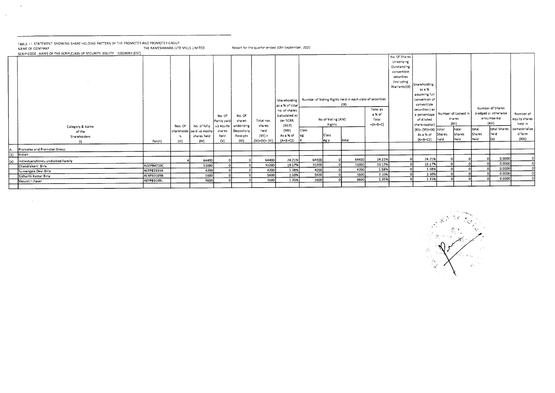| TABLE-11 STATEMENT SHOWING SHARE HOLDING PATTERN OF THE PROMOTER AND PROMOTER GROUP<br>NAME OF COMPANY<br>SCRIP CODE, NAME OF THE SCRIP, CLASS OF SECURITY : EQUITY 10028093 (CSE) | THE RAMESHWARA JUTE MILLS LIMITED |                       |                                                                               |                                                |                                                          | Report for the quarter ended 30th September, 2020            |                                                                                                                                |               |                                                |                                                                          |                                           |                                                                                                        |                                                                                                                                                                                                 |                                       |                                                  |                         |                                                                                          |                                                                           |
|------------------------------------------------------------------------------------------------------------------------------------------------------------------------------------|-----------------------------------|-----------------------|-------------------------------------------------------------------------------|------------------------------------------------|----------------------------------------------------------|--------------------------------------------------------------|--------------------------------------------------------------------------------------------------------------------------------|---------------|------------------------------------------------|--------------------------------------------------------------------------|-------------------------------------------|--------------------------------------------------------------------------------------------------------|-------------------------------------------------------------------------------------------------------------------------------------------------------------------------------------------------|---------------------------------------|--------------------------------------------------|-------------------------|------------------------------------------------------------------------------------------|---------------------------------------------------------------------------|
| Category & Name<br>of the<br>Shareholders<br>(1)                                                                                                                                   | Pan(II)                           | Nos. Of<br>rs<br>(11) | No. of fully Jup equity<br>shareholde [paid up equity]<br>shares held<br>(IV) | No. Of<br>Partly paid<br>shares<br>held<br>(v) | No. Of<br>shares<br>underlying<br>Depository<br>Receipts | Total nos.<br>shares<br>held<br>$(V  ) =$<br>$(IV)+(V)+(VI)$ | Shareholding I<br>as a % of total<br>no. of shares<br>(calculated as<br>per SCRR,<br>1957)<br>(V11)<br>As a % of<br>$(A+B+C2)$ | Class<br>leg: | No of Voting (XIV)<br>Rights<br>Class<br>jeg y | Number of Voting Rights held in each class of securities<br>(1)<br>total | Total as<br>a % of<br>Total<br>$=(A+B+C)$ | No. Of Shares<br>Underlying<br>Outstanding<br>convertible<br>securities<br>(including)<br>Warrants)(X) | Shareholding<br>as a %<br>assuming full<br>conversion of<br>convertible<br>securities (as<br>a percentage<br>of diluted<br>share capital)<br>(XI)= (VII)+(X)   totai<br>As a % of<br>$(A+B+C2)$ | Number of Locked in<br>Shares<br>held | shares<br>(X1)<br>total<br><b>Shares</b><br>held | total<br>Shares<br>held | Number of Shares<br>pledged or otherwise<br>encumbered<br>(XIII)<br>total Shares<br>held | Number of<br>equity shares<br>held in<br>dematerialize<br>d form<br>(XIV) |
| Promoter and Promoter Group                                                                                                                                                        |                                   |                       |                                                                               |                                                |                                                          |                                                              |                                                                                                                                |               |                                                |                                                                          |                                           |                                                                                                        |                                                                                                                                                                                                 |                                       |                                                  |                         |                                                                                          |                                                                           |
| Indian                                                                                                                                                                             |                                   |                       |                                                                               |                                                |                                                          |                                                              |                                                                                                                                |               |                                                |                                                                          |                                           |                                                                                                        |                                                                                                                                                                                                 |                                       |                                                  |                         |                                                                                          |                                                                           |
| Individuals/Hindu undivided Family                                                                                                                                                 |                                   |                       | 64400                                                                         |                                                |                                                          | 64400                                                        | 24.21%                                                                                                                         | 64400         |                                                | 64400                                                                    | 24.21%                                    |                                                                                                        | 24.21%                                                                                                                                                                                          |                                       |                                                  |                         | 0.0000<br>0.0000                                                                         |                                                                           |
| Chandrakant Biria                                                                                                                                                                  | ADZPB4710C                        |                       | 51000                                                                         |                                                |                                                          | 51000                                                        | 19.17%                                                                                                                         | 51000         |                                                | 51000                                                                    | 19.17%<br>1.58%                           |                                                                                                        | 19.17%<br>1.58%                                                                                                                                                                                 |                                       |                                                  |                         | 0.0000                                                                                   |                                                                           |
| Sumangala Devi Biria                                                                                                                                                               | AEFPB2335A                        |                       | 4200                                                                          |                                                |                                                          | 4200                                                         | 1.58%                                                                                                                          | 4200          |                                                | 4200<br>5600                                                             | 2.10%                                     |                                                                                                        | 2.10%                                                                                                                                                                                           |                                       |                                                  |                         | 0.0000                                                                                   |                                                                           |
| Sidharth Kumar Birla                                                                                                                                                               | AEKPB3109B                        |                       | 5600                                                                          |                                                |                                                          | 5600                                                         | 2.10%                                                                                                                          | 5600<br>3600  |                                                | 3600                                                                     | 1.35%                                     |                                                                                                        | 1.35%                                                                                                                                                                                           |                                       |                                                  |                         | 0.0000                                                                                   |                                                                           |
| Vasusri I Jhaver                                                                                                                                                                   | AEFPB3109L                        |                       | 3600                                                                          |                                                |                                                          | 3600                                                         | 1.35%                                                                                                                          |               |                                                |                                                                          |                                           |                                                                                                        |                                                                                                                                                                                                 |                                       |                                                  |                         |                                                                                          |                                                                           |
|                                                                                                                                                                                    |                                   |                       |                                                                               |                                                |                                                          |                                                              |                                                                                                                                |               |                                                |                                                                          |                                           |                                                                                                        |                                                                                                                                                                                                 |                                       |                                                  |                         |                                                                                          |                                                                           |

 $\sim 10^{-1}$ 

 $\sim$ 

ςj. ste antige e<sub>n</sub>  $\epsilon^{\lambda}{}_{\lambda}$  $\epsilon^{\prime}$  . V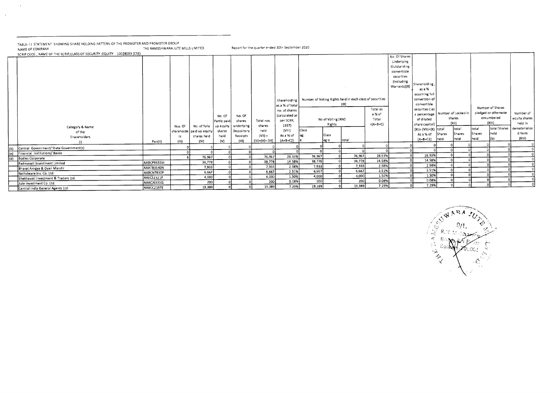TABLE- IT STATEMENT SHOWING SHARE HOLDING PATTERN OF THE PROMOTER AND PROMOTER GROUP<br>NAME OF COMPANY THE RAMESHWARA JUTE MILLS LIMITED Report for the quarter ended 30th September 2020

 $\sim 10^7$ 

 $\langle \cdot, \cdot \rangle$ 

|     | SCRIP CODE, NAME OF THE SCRIP, CLASS OF SECURITY : EQUITY 10028093 (CSE) |            |         |                                       |             |            |                 |                 |        |                    |                                                          |            | No. Of Shares |                                    |        |        |        |                      |               |
|-----|--------------------------------------------------------------------------|------------|---------|---------------------------------------|-------------|------------|-----------------|-----------------|--------|--------------------|----------------------------------------------------------|------------|---------------|------------------------------------|--------|--------|--------|----------------------|---------------|
|     |                                                                          |            |         |                                       |             |            |                 |                 |        |                    |                                                          |            | Underlying    |                                    |        |        |        |                      |               |
|     |                                                                          |            |         |                                       |             |            |                 |                 |        |                    |                                                          |            |               |                                    |        |        |        |                      |               |
|     |                                                                          |            |         |                                       |             |            |                 |                 |        |                    |                                                          |            | Outstanding   |                                    |        |        |        |                      |               |
|     |                                                                          |            |         |                                       |             |            |                 |                 |        |                    |                                                          |            | convertible   |                                    |        |        |        |                      |               |
|     |                                                                          |            |         |                                       |             |            |                 |                 |        |                    |                                                          |            | securities    |                                    |        |        |        |                      |               |
|     |                                                                          |            |         |                                       |             |            |                 |                 |        |                    |                                                          |            | (Including    | Shareholding,                      |        |        |        |                      |               |
|     |                                                                          |            |         |                                       |             |            |                 |                 |        |                    |                                                          |            | Warrants)(X)  | as a %                             |        |        |        |                      |               |
|     |                                                                          |            |         |                                       |             |            |                 |                 |        |                    |                                                          |            |               | assuming full                      |        |        |        |                      |               |
|     |                                                                          |            |         |                                       |             |            |                 | Shareholding    |        |                    | Number of Voting Rights held in each class of securities |            |               | conversion of                      |        |        |        |                      |               |
|     |                                                                          |            |         |                                       |             |            |                 | as a % of total |        |                    | $( X\rangle$                                             |            |               | convertible                        |        |        |        |                      |               |
|     |                                                                          |            |         |                                       |             |            |                 |                 |        |                    |                                                          | Total as   |               | securities (as                     |        |        |        | Number of Shares     |               |
|     |                                                                          |            |         |                                       |             |            |                 | no. of shares   |        |                    |                                                          | a % of     |               | a percentage   Number of Locked in |        |        |        | pledged or otherwise | Number of     |
|     |                                                                          |            |         |                                       | No. Of      | No. Of     |                 | (calculated as  |        | No of Voting (XIV) |                                                          | Total      |               | of diluted                         |        | shares |        | encumbered           | equity shares |
|     |                                                                          |            |         |                                       | Partly paid | shares     | Total nos.      | per SCRR,       |        | Rights             |                                                          | $=(A+B+C)$ |               | share capital)                     |        | (X  )  |        | (XIII)               | held in       |
|     | Category & Name                                                          |            | Nos. Of | No. of fully   up equity   underlying |             |            | shares          | 1957)           |        |                    |                                                          |            |               | (XI)= (VII)+(X) total              |        | total  | total  | total Shares         | dematerialize |
|     | of the                                                                   |            |         | i shareholde   paid up equity         | shares      | Depository | held            | (VIII)          | Class  |                    |                                                          |            |               | As a % of                          | Shares | Shares | Shares | Iheld                | d form        |
|     | Shareholders                                                             |            | rs      | shares held                           | held        | Receipts   | $(VH) =$        | As a % of       | eg:    | Class              | total                                                    |            |               | (A+B+C2) held                      |        | held   | held   | 1(b)                 | (XIV)         |
|     | (1)                                                                      | Pan(II)    | (III)   | (IV)                                  | (V)         | (VI)       | $(IV)+(V)+(Vi)$ | $(A+B+C2)$      |        | eg:y               |                                                          |            |               |                                    |        |        |        |                      |               |
| (b) | Central Government/ State Government(s)                                  |            |         |                                       |             |            |                 |                 |        |                    |                                                          |            |               |                                    |        |        |        |                      |               |
| (e) | Financial Institutions/Banks                                             |            |         |                                       |             |            |                 |                 |        |                    |                                                          |            |               | 28.93%                             |        |        |        |                      |               |
| (d) | Bodies Corporate                                                         |            |         | 76,967                                |             |            | 76,967          | 28.93%          | 76,967 |                    | 76,967                                                   | 28.93%     |               | 14.58%                             |        |        |        |                      |               |
|     | Padmavati Investment Limited                                             | AABCP8632M |         | 38,778                                |             |            | 38,778          | 14.58%          | 38,778 |                    | 38,778                                                   | 14.58%     |               |                                    |        |        |        |                      |               |
|     | Bharat Arogya & Gyan Mandir                                              | AAATB3540N |         | 7,933                                 |             |            | 7,933           | 2.98%           | 7,933  |                    | 7,933                                                    | 2.98%      |               | 2.98%                              |        |        |        |                      |               |
|     | Nathdwara Inv. Co. Ltd.                                                  | AABCN7830P |         | 6,667                                 |             |            | 6,667           | 2.51%           | 6,667  |                    | 6,667                                                    | 2.51%      |               | 2.51%                              |        |        |        |                      |               |
|     | Shekhavati Investment & Traders Ltd.                                     | AAECS2321P |         | 4,000                                 |             |            | 4,000           | 1.50%           | 4,000  |                    | 4,000                                                    | 1.50%      |               | 1.50%                              |        |        |        |                      |               |
|     | Jute Investment Co. Ltd.                                                 | AAACJ6331Q |         | 200                                   |             |            | 200             | 0.08%           | 200    |                    | 200                                                      | 0.08%      |               | 0.08%<br>7.29%                     |        |        |        |                      |               |
|     | Central India General Agents Ltd.                                        | AABCC2197E |         | 19,389                                |             |            | 19,389          | 7.29%           | 19,389 |                    | 19,389                                                   | 7.29%      |               |                                    |        |        |        |                      |               |

psRA \_  $\mathbb{C} A_N$  $R_{\odot}$  $n$ arr $\epsilon$ a. ്തി a ko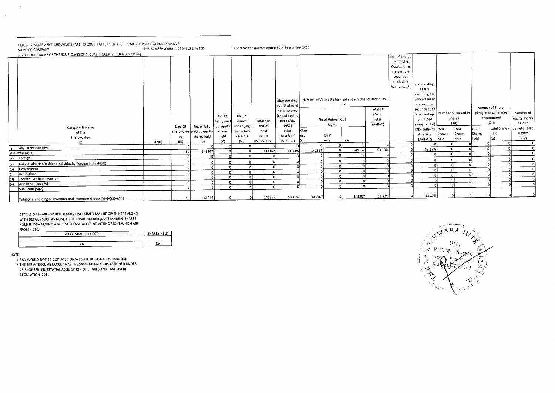TABLE- I I STATEMENT SHOWING SHARE HOLDING PATTERN OF THE PROMOTER AND PROMOTER GROUP<br>NAME OF COMPANY NAME OF COMPANY THE RAMESHWARA JUTE MILLS LIMITED Report for the quarter ended 30th September 2021

|                      | SCRIP CODE, NAME OF THE SCRIP, CLASS OF SECURITY : EQUITY 10028093 (CSE) |         |                 |                           |             |            |                 |                |        |                    |                                                          |            | No. Of Shares |                                      |        |        |        |                      |               |
|----------------------|--------------------------------------------------------------------------|---------|-----------------|---------------------------|-------------|------------|-----------------|----------------|--------|--------------------|----------------------------------------------------------|------------|---------------|--------------------------------------|--------|--------|--------|----------------------|---------------|
|                      |                                                                          |         |                 |                           |             |            |                 |                |        |                    |                                                          |            | Underlying    |                                      |        |        |        |                      |               |
|                      |                                                                          |         |                 |                           |             |            |                 |                |        |                    |                                                          |            | Outstanding   |                                      |        |        |        |                      |               |
|                      |                                                                          |         |                 |                           |             |            |                 |                |        |                    |                                                          |            | convertible   |                                      |        |        |        |                      |               |
|                      |                                                                          |         |                 |                           |             |            |                 |                |        |                    |                                                          |            | securities    |                                      |        |        |        |                      |               |
|                      |                                                                          |         |                 |                           |             |            |                 |                |        |                    |                                                          |            | (Including    |                                      |        |        |        |                      |               |
|                      |                                                                          |         |                 |                           |             |            |                 |                |        |                    |                                                          |            | Warrants)(X)  | Shareholding,                        |        |        |        |                      |               |
|                      |                                                                          |         |                 |                           |             |            |                 |                |        |                    |                                                          |            |               | as a %                               |        |        |        |                      |               |
|                      |                                                                          |         |                 |                           |             |            |                 |                |        |                    |                                                          |            |               | assuming full                        |        |        |        |                      |               |
|                      |                                                                          |         |                 |                           |             |            |                 | Shareholding   |        |                    | Number of Voting Rights held in each class of securities |            |               | conversion of<br>convertible         |        |        |        |                      |               |
|                      |                                                                          |         |                 |                           |             |            |                 | as a % of tota |        |                    | $( X\rangle$                                             | Total as   |               | securities (as                       |        |        |        | Number of Shares     |               |
|                      |                                                                          |         |                 |                           |             |            |                 | no. of shares  |        |                    |                                                          | a % of     |               | a percentage $ $ Number of Locked in |        |        |        | pledged or otherwise | Number of     |
|                      |                                                                          |         |                 |                           | No. Of      | No. Of     |                 | (calculated as |        | No of Voting (XIV) |                                                          | Total      |               | of diluted                           |        | shares |        | encumbered           | equity shares |
|                      |                                                                          |         |                 |                           | Partly paid | shares     | Total nos.      | per SCRR,      |        | Rights             |                                                          | $=(A+B+C)$ |               | share capital)                       |        | (X)    |        | (X  )                | heid in       |
|                      | Category & Name                                                          |         | Nos. Of         | No. of fully              | up equity   | underlying | shares          | 1957)          |        |                    |                                                          |            |               | $(X!) = (VII)+(X)$ total             |        | total  | total  | total Shares         | dematerialize |
|                      | of the                                                                   |         |                 | shareholde paid up equity | shares      | Depository | held            | (VIII)         | Class  | Class              |                                                          |            |               | As a % of                            | Shares | Shares | Shares | Iheld                | d form        |
|                      | Shareholders                                                             |         | rs.             | shares held               | held        | Receipts   | $(VII) =$       | As a % of      | eg:    | eg:y               | total                                                    |            |               | $(A+B+C2)$                           | held   | held   | held   |                      | (X V)         |
|                      | (1)                                                                      | Pan(II) | (III)           | (IV)                      | (V)         | (V!)       | $(IV)+(V)+(VI)$ | $(A+B+C2)$     |        |                    |                                                          |            |               |                                      |        |        |        |                      |               |
| (e)                  | Any Other (specify)                                                      |         |                 |                           |             |            | 141367          | \$3.13%        | 141367 |                    | 141367                                                   | 53.13%     |               | \$3.13%                              |        |        |        |                      |               |
|                      | Sub-Total (A)(1)<br>(2) Foreign                                          |         | 10              | 141367                    |             |            |                 |                |        |                    |                                                          |            |               |                                      |        |        |        |                      |               |
|                      |                                                                          |         |                 |                           |             |            |                 |                |        |                    |                                                          |            |               |                                      |        |        |        |                      |               |
|                      | individuals (NonResident Individuals/ Foreign Individuals)               |         |                 |                           |             |            |                 |                |        |                    |                                                          |            |               |                                      |        |        |        |                      |               |
| $\frac{1}{1}$<br>(b) | Government                                                               |         |                 |                           |             |            |                 |                |        |                    |                                                          |            |               |                                      |        |        |        |                      |               |
| (c)                  | Institutions                                                             |         |                 |                           |             |            |                 |                |        |                    |                                                          |            |               |                                      |        |        |        |                      |               |
| (d)                  | Foreign Portfolio Investor                                               |         |                 |                           |             |            |                 |                |        |                    |                                                          |            |               |                                      |        |        |        |                      |               |
| (e)                  | Any Other (specify)                                                      |         |                 |                           |             |            |                 |                |        |                    |                                                          |            |               |                                      |        |        |        |                      |               |
|                      | Sub-Total (A)(2)                                                         |         |                 |                           |             |            |                 |                |        |                    |                                                          |            |               |                                      |        |        |        |                      |               |
|                      | Total Shareholding of Promoter and Promoter Group (A)=(A)(1)+(A)(2)      |         | 10 <sup>1</sup> | 141367                    |             |            | 141367          | 53.13%         | 141367 |                    | 141367                                                   | 53.13%     |               | 53.13%                               |        |        |        |                      |               |

DETAILS OF SHARES WHICH REMAIN UNCLAIMED MAY BE GIVEN HERE ALONG WITH DETAILS SUCH AS NUMBER OF SHARE HOLDER ,OUTSTANDING SHARES HOLD IN DEMAT/UNCLAIMED SUSPENSE ACCOUNT VOTING RIGHT WHICH ARE FROZEN ETC.

| .<br>NO OF SHARE HOLDER | SHARES HELD |
|-------------------------|-------------|
| $-$                     |             |
| NΑ                      | <b>NA</b>   |

NOTE

 $\sim$ 

 $\sim$ 

1 PAN WOULD NOT BE DISPLAYED ON WEBSITE OF STOCK EXCHANGE(S).

2 THE TERM "ENCUMBRANCE " HAS THE SAME MEANING AS ASSIGNED UNDER

28(3) OF SEBI (SUBSTATIAL ACQUISITION OF SHARES AND TAKE OVER)

REGULATION ,2011

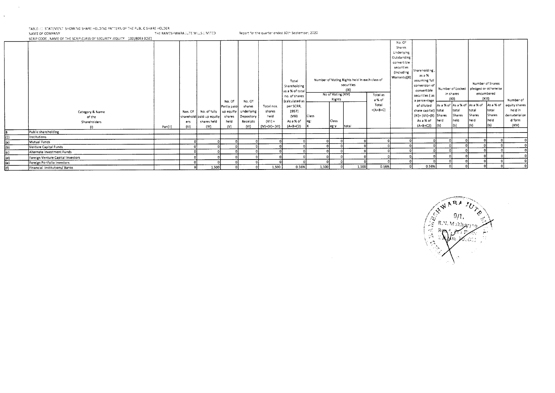$\sim$ 

 $\mathcal{A}^{\pm}$ 

TABLE- 13 STATEMENT SHOW:NG SHARE HOLDING PATTERN OF THE PUBLIC SHARE HOLDER<br>NAME OF COMPANY NAME OF COMPANY THE RAMESHWARA JUTE MILLS LIMITED Report for the quarter ended 30th September, 2020<br>SCRIP CODE , NAME OF THE SCRIP,CLASS OF SECURITY :EQUITY | 10028093 (CSE)

|             |                                   |         |         |                                       |              |            |                 |                 |       |                    |                                               |            | No. Of       |                           |      |              |        |                                         |               |
|-------------|-----------------------------------|---------|---------|---------------------------------------|--------------|------------|-----------------|-----------------|-------|--------------------|-----------------------------------------------|------------|--------------|---------------------------|------|--------------|--------|-----------------------------------------|---------------|
|             |                                   |         |         |                                       |              |            |                 |                 |       |                    |                                               |            | Shares       |                           |      |              |        |                                         |               |
|             |                                   |         |         |                                       |              |            |                 |                 |       |                    |                                               |            | Underlying   |                           |      |              |        |                                         |               |
|             |                                   |         |         |                                       |              |            |                 |                 |       |                    |                                               |            | Outstanding  |                           |      |              |        |                                         |               |
|             |                                   |         |         |                                       |              |            |                 |                 |       |                    |                                               |            | convertible  |                           |      |              |        |                                         |               |
|             |                                   |         |         |                                       |              |            |                 |                 |       |                    |                                               |            | securities   |                           |      |              |        |                                         |               |
|             |                                   |         |         |                                       |              |            |                 |                 |       |                    |                                               |            | (Including   | Shareholding,             |      |              |        |                                         |               |
|             |                                   |         |         |                                       |              |            |                 |                 |       |                    | Number of Voting Rights held in each class of |            | Warrants)(X) | as a %                    |      |              |        |                                         |               |
|             |                                   |         |         |                                       |              |            |                 | Total           |       |                    | securities                                    |            |              | assuming full             |      |              |        | Number of Shares                        |               |
|             |                                   |         |         |                                       |              |            |                 | Shareholding    |       |                    | (1X)                                          |            |              | conversion of             |      |              |        | Number of Locked   pledged or otherwise |               |
|             |                                   |         |         |                                       |              |            |                 | as a % of total |       | No of Voting (XIV) |                                               | Total as   |              | convertible               |      | in shares    |        | encumbered                              |               |
|             |                                   |         |         |                                       |              |            |                 | no. of shares   |       | Rights             |                                               | a % of     |              | securities (as            |      | (X)          |        | (XIII)                                  | Number of     |
|             |                                   |         |         |                                       | No. Of       | No. Of     |                 | (calculated as  |       |                    |                                               | Total      |              | a percentage              |      |              |        | As a % of As a % of As a % of As a % of | equity shares |
|             |                                   |         |         |                                       | Partly paid- | shares     | Total nos.      | per SCRR,       |       |                    |                                               | $=(A+B+C)$ |              | of diluted                |      |              | total  | total                                   | held in       |
|             | Category & Name                   |         | Nos. Of | No. of fully   up equity   underlying |              |            | shares          | 1957)           |       |                    |                                               |            |              | share capital) total      |      | total        |        |                                         |               |
|             | of the                            |         |         | sharehold paid up equity              | shares       | Depository | held            | (VIII)          | Class |                    |                                               |            |              | $(XI) = (VII)+(X)$ Shares |      | Shares       | Shares | Shares<br>held                          | dematerialize |
|             | Shareholders                      |         | ers     | shares held                           | held         | Receipts   | $(V  ) =$       | As a % of       | leg:  | Class              |                                               |            |              | As a % of                 | held | held         | held   |                                         | d form        |
|             | $\{  \}$                          | Pan(II) | (HH)    | $\{ \mathsf{V}\rangle\}$              | (V)          | (VI)       | $(IV)+(V)+(VI)$ | $(A+B+C2)$      |       | eg:y               | total                                         |            |              | $(A+B+C2)$                | I(b) | <sub>1</sub> | (b)    |                                         | (XIV)         |
|             | Public shareholding               |         |         |                                       |              |            |                 |                 |       |                    |                                               |            |              |                           |      |              |        |                                         |               |
| (1)         | Institutions                      |         |         |                                       |              |            |                 |                 |       |                    |                                               |            |              |                           |      |              |        |                                         |               |
| $ a\rangle$ | Mutual Funds                      |         |         |                                       |              |            |                 |                 |       |                    |                                               |            |              |                           |      |              |        |                                         |               |
| (b)         | Venture Capital Funds             |         |         |                                       |              |            |                 |                 |       |                    |                                               |            |              |                           |      |              |        |                                         |               |
| (c)         | Alternate Investment Funds        |         |         |                                       |              |            |                 |                 |       |                    |                                               |            |              |                           |      |              |        |                                         |               |
| (d)         | Foreign Venture Capital investors |         |         |                                       |              |            |                 |                 |       |                    |                                               |            |              |                           |      |              |        |                                         |               |
| (e)         | Foreign Portfolio Investors       |         |         |                                       |              |            |                 |                 |       |                    |                                               |            |              |                           |      |              |        |                                         |               |
| (f)         | Financial Institutions/Banks      |         |         | 1,500                                 |              |            | 1,500           | 0.56%           | 1,500 |                    | 1.500                                         | 0.56%      |              | 0.56%                     |      |              |        |                                         |               |

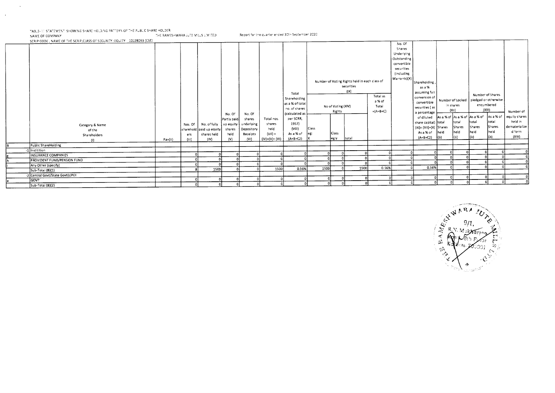TABLE- 33 STATEMENT, SHOWING SHARE HOLDING PATTERN OF THE PUBLIC SHARE HOLDER

 $\sim$ 

 $\sim$ 

THE RAMESHWARA JUTE MILLS LIMITED. NAME OF COMPANY

SCRIP CODE, NAME OF THE SCRIP, CLASS OF SECURITY (EQUITY 10028093 (CSE)  $No. Of$ Shares Underlying Outstanding convertible securities (Including Warrants)(X) Number of Voting Rights held in each class of Shareholding securities as a %  $(|X\rangle$ assuming full Total Number of Shares Total as conversion of Shareholding Number of Locked pledged or otherwise a % of convertible as a % of total encumbered in shares No of Voting (XIV) Total securities (as no. of shares  $(X)$   $\mathbb{R}$  $(XII)$ Rights  $=(A+B+C)$ Number of a percentage (calculated as No. Of No. Of As a % of As a % of equity shares of diluted As a % of As a % of per SCRR. Partly paid shares Total nos. share capital) total total total total held in  $1957$ Category & Name No. of fully up equity underlying shares Nos. Of dematerialize  $(XI) = (VII) + (X)$  Shares Shares Shares Shares  $(VIII)$ Class held sharehold paid up equity shares Depository of the held d form held heid held As a % of held  $(V(1)) =$ As a % of  $\left| \right|$ eg: Class shares held Receipts ers Shareholders  $(b)$  $(XIV)$ l(ы) total  $(A + B + C2)$  $\vert$ (b) (h)  $(A+B+C2)$  $\left| \right.$ eg:y  $\{IV\}$  $(V)$  $(V)$  $(|V\rangle+(V)+|V|)$ Pan(II)  $(III)$  $(1)$ **Public ShareHolding** -1 Institition ᄀ  $\overline{\mathbf{c}}$  $\overline{a}$  $\overline{0}$  $\overline{\Omega}$  $\lceil 0 \rceil$ 'n  $\overline{\phantom{a}}$  $\circ$ ົດ INSURANCE COMPANIES ി  $\Omega$  $\Omega$ र्ग 고 न ᆔ  $\overline{ }$ न 히 ᅲ न  $\overline{0}$  $\Omega$  $\Omega$ ᆩ PROVIDENT FUND/PENSION FUND  $\Omega$ ᆔ ॸा ᄀ 이 ำป  $\Omega$ া ᆔ - 7  $\overline{ }$ 피  $\Omega$ - 91 ᆔ Any Other (specify) ᆔ ᄀ  $\overline{1500}$ 0.56% 고 0.56% 고 ำเ 1500 ᆔ 1500 0.56% 1500  $\overline{\mathbf{r}}$  $\mathbf{r}$ Sub-Total (B)(1) -2 Central Govt/State Govt(s)POI ୕୶୲ न 0 21 न  $\overline{\Omega}$  $\overline{a}$  $|0|$ - 21  $\overline{\mathfrak{o}}$  $\circ$ ਕਿਆਂ  $\overline{ }$ ᅁ  $\overline{0}$  $\Omega$ ി ᅙ ঢা ज 이 히 히 न ō ᆔ 히  $\overline{\Omega}$  $\overline{\phantom{a}}$ Sub-Total (8)(2) ol  $\overline{\phantom{a}}$ ō

Report for the quarter ended 30th September 2020

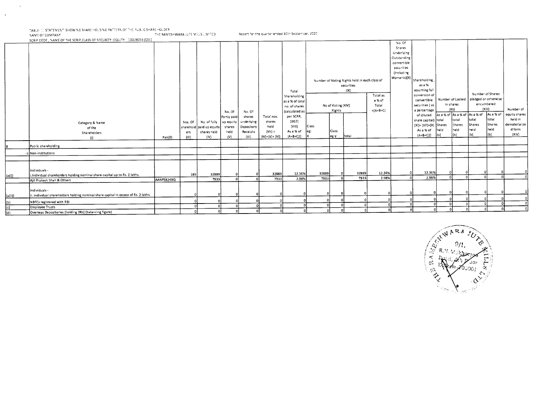-TABLE- ::: STATEMENT SHOWING SHARE HOLDING PATTERN OF THE PUBLIC SHARE HOLDER. NAME OF COMPANY THE RAVESHWARA JUTE VILLS UNITED Report for the quarter ended 30th Sestember, 2020

 $\sim$ 

 $\langle \cdot \rangle$ 

SCRIP CODE, NAME OF THE SCRIP, CLASS OF SECURITY : EQUITY : 10028093 (CSE) Category & Name of the Shareholders (I) Pan(II) Nos. Of sharehold paid up equity ers (III) No. of fully shares held (IV) No. Of Partly paid up equity shares held (V) No. Of shares underlying Depository Receipts (VI) Total nos. shares held  $(V)$ II) =  $(IV)+(V)+(VI)$ Total Shareholding as a % of total no. of shares (calculated as per SCRR, 1957) (VIII) As a % of  $(A + B + C2)$ Number of Voting Rights held in each class of securities  $(|X\rangle$ No. Of Shares Underlying Outstanding convertible securities (Including Warrants)(X) Shareholding , as a % assuming full conversion of convertible securities ( as a percentage of diluted share capital) (XI)= (VII)+(X) }Shares As a % of  $(A+B+C2)$ Number of Locked in shares (XII) Number of Shares pledged or otherwise encumbered (XIII) Number of equity shares held in dematerialize d form (XIV) No of Voting (XIV) Rights Total as a % of Total  $=(A+B+C)$ Class eg: X Class eg:y total As a % of As a % of As a % of total held (b) total Shares held (b) İtotal Shares held (b) As a % of total Shares held  $(b)$ Public shareholding -3 Non-institutions  $\vert$ (a(i)) Individuals - LIndividual shareholders holding nominal share capital up to Rs. 2 lakhs. 189 32889 0 0 32889 12.36% 32889 0 32889 12.36% 0 12.36% 0 0 0 0 <sup>o</sup> Ajit Prakash Shah & Others AANP58249Q 7933 0 0 7933 2.98% 7933 0 7933 2.98% 0 2.98% 0 0 0 0 <sup>o</sup> (a(ii)) Individuals ii. Individual shareholders holding nominal share capital in excess of Rs. 2 lakhs. 0 o <sup>0</sup>0 0 0 0 0 0 0 0 0 0 0 0 0 0 (b) NBFC5 registered with RBI 0 0 0 0 0 0 0 0 0 0 0 0 0 0 0 0 0 o (c) Employee Trusts 0 0 0 0 0 0 0 0 0 0 0 0 0 0 0 0 (d) Overseas Depositories (holding DRs) (balancing figure) 0 0 0 0 0 0 0 0 0 0 0 0 0 0 0 0 <sup>o</sup>

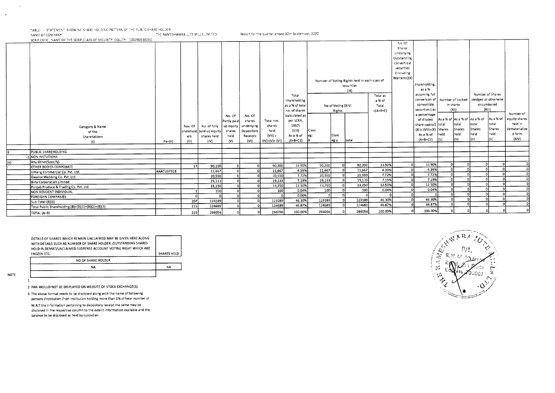TABLE- II. STATEMENT, SHOWING SHARE HOLDING PATTERN OF THE PUBLIC SHARE HOLDER THE RAMESHWARA JUTE MILLS LIMITED Report for the quarter ended 30th September, 2020 NAME OF COMPANY

SCRIP CODE, NAME OF THE SCRIP, CLASS OF SECURITY : EQUITY 10028093(CSE) No. Of Shares Underlying Outstanding convertible securities (including Warrants)(X) Number of Voting Rights held in each class of Shareholding, securities as a %  $(|X\rangle$ assuming full Number of Shares Total Total as conversion of Number of Locked pledged or otherwise Shareholding a % of convertible in shares encumbered as a % of total No of Voting (XIV) Total  $(X|H)$ no. of shares  $=(A+B+C)$ securities (as  $(X|i)$ Rights Number of a percentage No. Of No. Of (calculated as of diluted As a % of As a % of As a % of las a % of equity shares Total nos. per SCRR, Partly pair shares held in total share capital) total total total Category & Name Nos. Of No. of fully up equity underlying shares 1957) dematerialize **Shares Shares** Shares  $(X!) = (V1!) + (X)$  Shares paid up equity shares Depository held  $(VIII)$ **Class** harehold of the d form heid held held held As a % of  $(V||) =$ As a % of Ciass leg: Shareholders ers shares held held Receipts  $(XIV)$  $(A + B + C2)$ Īы òП łы  $(IV)+(V)+(Vi)$  $(A+B+C2)$ leg:y total Pan(II)  $(111)$  $(IV)$  $(V)$  $(VI)$  $(1)$ PUBLIC SHAREHOLDING 3 NON INSTUTIONS Any Other(Specify) 33.90% ᆔ  $90,200$ 90,200 33.90% ōl -91  $\overline{0}$  $90,200$ 33.90%  $\overline{D}$ 90,200 **OTHER BODIES CORPORATE**  $17$ n.  $\sqrt{2}$ ᆔ 4.39% ᆔ 4.39%  $\overline{0}$  $\overline{0}$ ol 11,667 4.39% 11,667 ി 11,667 AAACU3731B 11,667 Umang Commercial Co. Pvt. Ltd. -n. 20,55D 7.72%  $\overline{\phantom{a}}$  $7.72%$  $\Omega$  $\overline{ }$ 히 o  $\frac{1}{2D,550}$ 7.72% 20,550  $\overline{0}$ 20,550  $\Omega$ Gwalior Webbing Co. Pvt. Ltd.  $19,133$ 고  $19,133$ 7.19% 7.19%  $\circ$  $\overline{ }$ ol ol 7.19%  $19,133$ 19,133  $\overline{D}$ **Birla Corporation Limited** 12.50% 33,250  $33,250$ 12.50% ō 12.50%  $\overline{\mathbf{0}}$  $\mathbf{D}$ э. ി 33,250  $\overline{0}$  $33,250$ - 7 'n Punjab Produce & Trading Co. Pvt. Ltd.  $10D$  $\sqrt{100}$ 0.04% 0.04%  $\Omega$ Э 'n  $0.04%$  $\Omega$  $\overline{100}$ 100 NON RESIDENT INDIVIDUAL ำป  $\Omega$  $\circ$ D D.D0% ा ol — ∩ D  $\mathbf 0$ ╦ 淸 ം n **FOREIGHN COMPANIES** 123189 46.30% 46.30%  $\overline{0}$  $\overline{0}$  $\overline{\mathbf{0}}$  $\overline{p}$  $\overline{207}$ 123189 123189 46.30% 123189 D ᆎ  $\overline{0}$  $5ub-Total (B)(3)$ 124689 46.87% 46.87% 킈  $\overline{\phantom{a}}$ त्रा  $\overline{D}$ 124689  $215$ 124689 淸 124689 46.87% Total Public Shareholding (B)=(B)(1)+(B)(2)+(B)(3)  $\mathbf{a}$ 100.00%  $\circ$ 266056 266056 100.00%  $\circ$ TOTAL (A+B)  $225$ 266056  $\overline{a}$ 266056 100.00%  $\Omega$ 

| HOLD IN DEMAT/UNCLAIMED SUSPENSE ACCOUNT VOTING RIGHT WHICH ARE<br>FROZEN ETC. | <b>SHARES HELD</b> |
|--------------------------------------------------------------------------------|--------------------|
| NO OF SHARE HOLDER                                                             |                    |
| NA                                                                             | <b>NA</b>          |

**NOTE** 

 $\mathbf{1}$ 

 $\blacksquare$ 

2 PAN WOULD NOT BE DISPLAYED ON WEBSITE OF STOCK EXCHANGE(S).

3 The above format needs to be disclosed along with the name of following persons /institution /non institution holding more than 1% of total number of

W.R.T the information pertaining to depository receipt the same may be disclosed in the respective column to the extent information available and the balance to be disclosed as held by custodian.